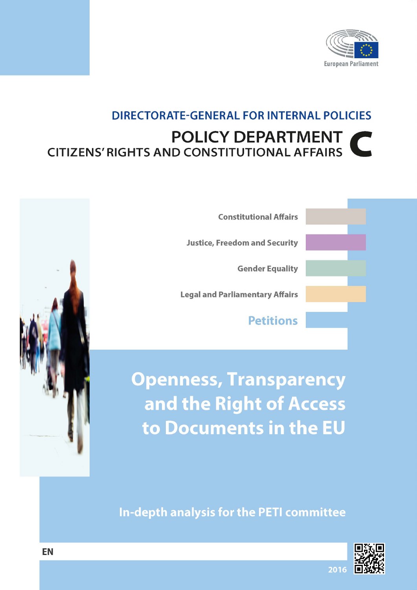

# **DIRECTORATE-GENERAL FOR INTERNAL POLICIES POLICY DEPARTMENT CITIZENS' RIGHTS AND CONSTITUTIONAL AFFAIRS**



In-depth analysis for the PETI committee

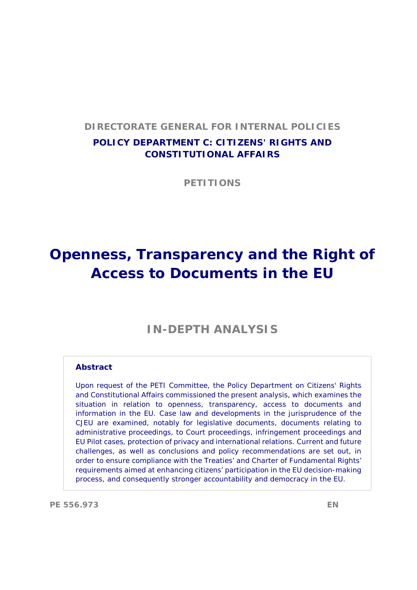#### **DIRECTORATE GENERAL FOR INTERNAL POLICIES**

## **POLICY DEPARTMENT C: CITIZENS' RIGHTS AND CONSTITUTIONAL AFFAIRS**

**PETITIONS**

# **Openness, Transparency and the Right of Access to Documents in the EU**

# **IN-DEPTH ANALYSIS**

#### **Abstract**

Upon request of the PETI Committee, the Policy Department on Citizens' Rights and Constitutional Affairs commissioned the present analysis, which examines the situation in relation to openness, transparency, access to documents and information in the EU. Case law and developments in the jurisprudence of the CJEU are examined, notably for legislative documents, documents relating to administrative proceedings, to Court proceedings, infringement proceedings and EU Pilot cases, protection of privacy and international relations. Current and future challenges, as well as conclusions and policy recommendations are set out, in order to ensure compliance with the Treaties' and Charter of Fundamental Rights' requirements aimed at enhancing citizens' participation in the EU decision-making process, and consequently stronger accountability and democracy in the EU.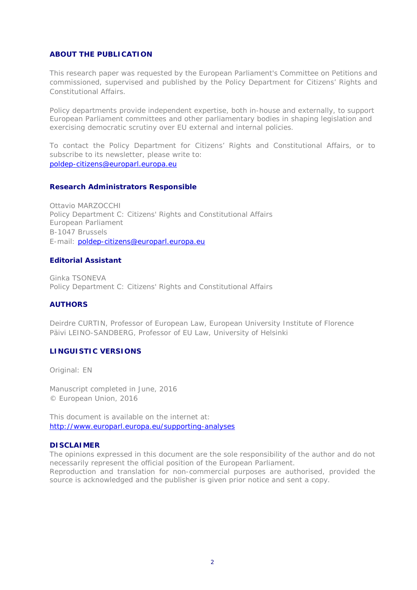#### **ABOUT THE PUBLICATION**

This research paper was requested by the European Parliament's Committee on Petitions and commissioned, supervised and published by the Policy Department for Citizens' Rights and Constitutional Affairs.

Policy departments provide independent expertise, both in-house and externally, to support European Parliament committees and other parliamentary bodies in shaping legislation and exercising democratic scrutiny over EU external and internal policies.

To contact the Policy Department for Citizens' Rights and Constitutional Affairs, or to subscribe to its newsletter, please write to: poldep-citizens@europarl.europa.eu

#### **Research Administrators Responsible**

Ottavio MARZOCCHI Policy Department C: Citizens' Rights and Constitutional Affairs European Parliament B-1047 Brussels E-mail: poldep-citizens@europarl.europa.eu

#### **Editorial Assistant**

Ginka TSONEVA Policy Department C: Citizens' Rights and Constitutional Affairs

#### **AUTHORS**

Deirdre CURTIN, Professor of European Law, European University Institute of Florence Päivi LEINO-SANDBERG, Professor of EU Law, University of Helsinki

#### **LINGUISTIC VERSIONS**

Original: EN

Manuscript completed in June, 2016 © European Union, 2016

This document is available on the internet at: http://www.europarl.europa.eu/supporting-analyses

#### **DISCLAIMER**

The opinions expressed in this document are the sole responsibility of the author and do not necessarily represent the official position of the European Parliament.

Reproduction and translation for non-commercial purposes are authorised, provided the source is acknowledged and the publisher is given prior notice and sent a copy.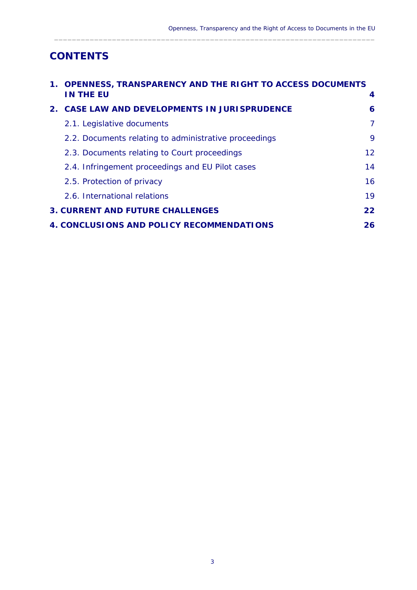# **CONTENTS**

|  | 1. OPENNESS, TRANSPARENCY AND THE RIGHT TO ACCESS DOCUMENTS |                |
|--|-------------------------------------------------------------|----------------|
|  | <b>IN THE EU</b>                                            | 4              |
|  | 2. CASE LAW AND DEVELOPMENTS IN JURISPRUDENCE               | 6              |
|  | 2.1. Legislative documents                                  | $\overline{7}$ |
|  | 2.2. Documents relating to administrative proceedings       | 9              |
|  | 2.3. Documents relating to Court proceedings                | 12             |
|  | 2.4. Infringement proceedings and EU Pilot cases            | 14             |
|  | 2.5. Protection of privacy                                  | 16             |
|  | 2.6. International relations                                | 19             |
|  | <b>3. CURRENT AND FUTURE CHALLENGES</b>                     | 22             |
|  | 4. CONCLUSIONS AND POLICY RECOMMENDATIONS                   | 26             |

 $\_$  , and the set of the set of the set of the set of the set of the set of the set of the set of the set of the set of the set of the set of the set of the set of the set of the set of the set of the set of the set of th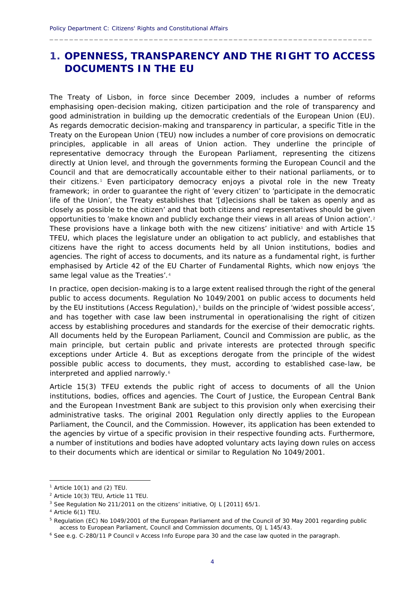# <span id="page-5-0"></span>**1. OPENNESS, TRANSPARENCY AND THE RIGHT TO ACCESS DOCUMENTS IN THE EU**

**\_\_\_\_\_\_\_\_\_\_\_\_\_\_\_\_\_\_\_\_\_\_\_\_\_\_\_\_\_\_\_\_\_\_\_\_\_\_\_\_\_\_\_\_\_\_\_\_\_\_\_\_\_\_\_\_\_\_\_\_\_\_\_\_\_**

The Treaty of Lisbon, in force since December 2009, includes a number of reforms emphasising open-decision making, citizen participation and the role of transparency and good administration in building up the democratic credentials of the European Union (EU). As regards democratic decision-making and transparency in particular, a specific Title in the Treaty on the European Union (TEU) now includes a number of core provisions on democratic principles, applicable in all areas of Union action. They underline the principle of representative democracy through the European Parliament, representing the citizens directly at Union level, and through the governments forming the European Council and the Council and that are democratically accountable either to their national parliaments, or to their citizens.[1](#page-5-1) Even participatory democracy enjoys a pivotal role in the new Treaty framework; in order to guarantee the right of 'every citizen' to 'participate in the democratic life of the Union', the Treaty establishes that '[d]ecisions shall be taken as openly and as closely as possible to the citizen' and that both citizens and representatives should be given opportunities to 'make known and publicly exchange their views in all areas of Union action'[.2](#page-5-2) These provisions have a linkage both with the new citizens' initiative<sup>[3](#page-5-3)</sup> and with Article 15 TFEU, which places the legislature under an obligation to act publicly, and establishes that citizens have the right to access documents held by all Union institutions, bodies and agencies. The right of access to documents, and its nature as a fundamental right, is further emphasised by Article 42 of the EU Charter of Fundamental Rights, which now enjoys 'the same legal value as the Treaties'.<sup>[4](#page-5-4)</sup>

In practice, open decision-making is to a large extent realised through the right of the general public to access documents. Regulation No 1049/2001 on public access to documents held by the EU institutions (Access Regulation),<sup>[5](#page-5-5)</sup> builds on the principle of 'widest possible access', and has together with case law been instrumental in operationalising the right of citizen access by establishing procedures and standards for the exercise of their democratic rights. All documents held by the European Parliament, Council and Commission are public, as the main principle, but certain public and private interests are protected through specific exceptions under Article 4. But as exceptions derogate from the principle of the widest possible public access to documents, they must, according to established case-law, be interpreted and applied narrowly.<sup>[6](#page-5-6)</sup>

Article 15(3) TFEU extends the public right of access to documents of all the Union institutions, bodies, offices and agencies. The Court of Justice, the European Central Bank and the European Investment Bank are subject to this provision only when exercising their administrative tasks. The original 2001 Regulation only directly applies to the European Parliament, the Council, and the Commission. However, its application has been extended to the agencies by virtue of a specific provision in their respective founding acts. Furthermore, a number of institutions and bodies have adopted voluntary acts laying down rules on access to their documents which are identical or similar to Regulation No 1049/2001.

<span id="page-5-1"></span> $1$  Article 10(1) and (2) TEU.

<span id="page-5-2"></span><sup>2</sup> Article 10(3) TEU, Article 11 TEU.

<span id="page-5-3"></span><sup>&</sup>lt;sup>3</sup> See Regulation No 211/2011 on the citizens' initiative, OJ L [2011] 65/1.

<span id="page-5-4"></span><sup>4</sup> Article 6(1) TEU.

<span id="page-5-5"></span><sup>5</sup> Regulation (EC) No 1049/2001 of the European Parliament and of the Council of 30 May 2001 regarding public access to European Parliament, Council and Commission documents, OJ L 145/43.

<span id="page-5-6"></span><sup>6</sup> See e.g. C-280/11 P *Council v Access Info Europe* para 30 and the case law quoted in the paragraph.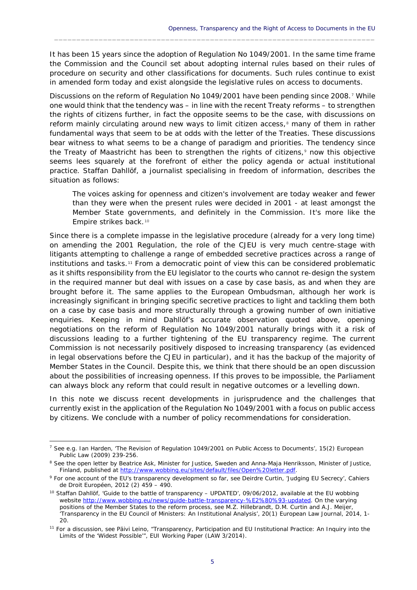It has been 15 years since the adoption of Regulation No 1049/2001. In the same time frame the Commission and the Council set about adopting internal rules based on their rules of procedure on security and other classifications for documents. Such rules continue to exist in amended form today and exist alongside the legislative rules on access to documents.

 $\_$  , and the set of the set of the set of the set of the set of the set of the set of the set of the set of the set of the set of the set of the set of the set of the set of the set of the set of the set of the set of th

Discussions on the reform of Regulation No 1049/2001 have been pending since 2008.[7](#page-6-0) While one would think that the tendency was – in line with the recent Treaty reforms – to strengthen the rights of citizens further, in fact the opposite seems to be the case, with discussions on reform mainly circulating around new ways to limit citizen access,<sup>[8](#page-6-1)</sup> many of them in rather fundamental ways that seem to be at odds with the letter of the Treaties. These discussions bear witness to what seems to be a change of paradigm and priorities. The tendency since the Treaty of Maastricht has been to strengthen the rights of citizens, $9$  now this objective seems lees squarely at the forefront of either the policy agenda or actual institutional practice. Staffan Dahllöf, a journalist specialising in freedom of information, describes the situation as follows:

*The voices asking for openness and citizen's involvement are today weaker and fewer than they were when the present rules were decided in 2001 - at least amongst the Member State governments, and definitely in the Commission. It's more like the Empire strikes back.*[10](#page-6-3)

Since there is a complete impasse in the legislative procedure (already for a very long time) on amending the 2001 Regulation, the role of the CJEU is very much centre-stage with litigants attempting to challenge a range of embedded secretive practices across a range of institutions and tasks.<sup>[11](#page-6-4)</sup> From a democratic point of view this can be considered problematic as it shifts responsibility from the EU legislator to the courts who cannot re-design the system in the required manner but deal with issues on a case by case basis, as and when they are brought before it. The same applies to the European Ombudsman, although her work is increasingly significant in bringing specific secretive practices to light and tackling them both on a case by case basis and more structurally through a growing number of own initiative enquiries. Keeping in mind Dahllöf's accurate observation quoted above, opening negotiations on the reform of Regulation No 1049/2001 naturally brings with it a risk of discussions leading to a further tightening of the EU transparency regime. The current Commission is not necessarily positively disposed to increasing transparency (as evidenced in legal observations before the CJEU in particular), and it has the backup of the majority of Member States in the Council. Despite this, we think that there should be an open discussion about the possibilities of increasing openness. If this proves to be impossible, the Parliament can always block any reform that could result in negative outcomes or a levelling down.

In this note we discuss recent developments in jurisprudence and the challenges that currently exist in the application of the Regulation No 1049/2001 with a focus on public access by citizens. We conclude with a number of policy recommendations for consideration.

<span id="page-6-0"></span> <sup>7</sup> See e.g. Ian Harden, 'The Revision of Regulation 1049/2001 on Public Access to Documents', 15(2) European Public Law (2009) 239-256.

<span id="page-6-1"></span><sup>&</sup>lt;sup>8</sup> See the open letter by Beatrice Ask, Minister for Justice, Sweden and Anna-Maja Henriksson, Minister of Justice, Finland, published a[t http://www.wobbing.eu/sites/default/files/Open%20letter.pdf.](http://www.wobbing.eu/sites/default/files/Open%20letter.pdf)

<span id="page-6-2"></span><sup>9</sup> For one account of the EU's transparency development so far, see Deirdre Curtin, 'Judging EU Secrecy', Cahiers de Droit Européen, 2012 (2) 459 – 490.

<span id="page-6-3"></span><sup>&</sup>lt;sup>10</sup> Staffan Dahllöf, 'Guide to the battle of transparency – UPDATED', 09/06/2012, available at the EU wobbing website [http://www.wobbing.eu/news/guide-battle-transparency-%E2%80%93-updated.](http://www.wobbing.eu/news/guide-battle-transparency-%E2%80%93-updated) On the varying positions of the Member States to the reform process, see M.Z. Hillebrandt, D.M. Curtin and A.J. Meijer, 'Transparency in the EU Council of Ministers: An Institutional Analysis', 20(1) European Law Journal, 2014, 1- 20.

<span id="page-6-4"></span><sup>11</sup> For a discussion, see Päivi Leino, "Transparency, Participation and EU Institutional Practice: An Inquiry into the Limits of the 'Widest Possible'", EUI Working Paper (LAW 3/2014).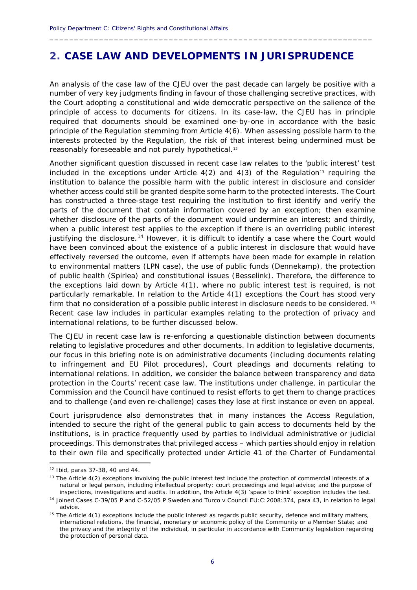# <span id="page-7-0"></span>**2. CASE LAW AND DEVELOPMENTS IN JURISPRUDENCE**

**\_\_\_\_\_\_\_\_\_\_\_\_\_\_\_\_\_\_\_\_\_\_\_\_\_\_\_\_\_\_\_\_\_\_\_\_\_\_\_\_\_\_\_\_\_\_\_\_\_\_\_\_\_\_\_\_\_\_\_\_\_\_\_\_\_**

An analysis of the case law of the CJEU over the past decade can largely be positive with a number of very key judgments finding in favour of those challenging secretive practices, with the Court adopting a constitutional and wide democratic perspective on the salience of the principle of access to documents for citizens. In its case-law, the CJEU has in principle required that documents should be examined one-by-one in accordance with the basic principle of the Regulation stemming from Article 4(6). When assessing possible harm to the interests protected by the Regulation, the risk of that interest being undermined must be reasonably foreseeable and not purely hypothetical.<sup>[12](#page-7-1)</sup>

Another significant question discussed in recent case law relates to the 'public interest' test included in the exceptions under Article  $4(2)$  and  $4(3)$  of the Regulation<sup>[13](#page-7-2)</sup> requiring the institution to balance the possible harm with the public interest in disclosure and consider whether access could still be granted despite some harm to the protected interests. The Court has constructed a three-stage test requiring the institution to first identify and verify the parts of the document that contain information covered by an exception; then examine whether disclosure of the parts of the document would undermine an interest; and thirdly, when a public interest test applies to the exception if there is an overriding public interest justifying the disclosure.<sup>[14](#page-7-3)</sup> However, it is difficult to identify a case where the Court would have been convinced about the existence of a public interest in disclosure that would have effectively reversed the outcome, even if attempts have been made for example in relation to environmental matters (*LPN* case), the use of public funds (*Dennekamp*), the protection of public health (*Spirlea*) and constitutional issues (*Besselink*). Therefore, the difference to the exceptions laid down by Article 4(1), where no public interest test is required, is not particularly remarkable. In relation to the Article 4(1) exceptions the Court has stood very firm that no consideration of a possible public interest in disclosure needs to be considered. [15](#page-7-4) Recent case law includes in particular examples relating to the protection of privacy and international relations, to be further discussed below.

The CJEU in recent case law is re-enforcing a questionable distinction between documents relating to legislative procedures and other documents. In addition to legislative documents, our focus in this briefing note is on administrative documents (including documents relating to infringement and EU Pilot procedures), Court pleadings and documents relating to international relations. In addition, we consider the balance between transparency and data protection in the Courts' recent case law. The institutions under challenge, in particular the Commission and the Council have continued to resist efforts to get them to change practices and to challenge (and even re-challenge) cases they lose at first instance or even on appeal.

Court jurisprudence also demonstrates that in many instances the Access Regulation, intended to secure the right of the general public to gain access to documents held by the institutions, is in practice frequently used by parties to individual administrative or judicial proceedings. This demonstrates that privileged access – which parties should enjoy in relation to their own file and specifically protected under Article 41 of the Charter of Fundamental

<span id="page-7-1"></span> <sup>12</sup> Ibid, paras 37-38, 40 and 44.

<span id="page-7-2"></span> $13$  The Article 4(2) exceptions involving the public interest test include the protection of commercial interests of a natural or legal person, including intellectual property; court proceedings and legal advice; and the purpose of inspections, investigations and audits. In addition, the Article 4(3) 'space to think' exception includes the test.

<span id="page-7-3"></span><sup>14</sup> Joined Cases C-39/05 P and C-52/05 P Sweden and Turco v Council EU:C:2008:374, para 43, in relation to legal advice.

<span id="page-7-4"></span> $15$  The Article 4(1) exceptions include the public interest as regards public security, defence and military matters, international relations, the financial, monetary or economic policy of the Community or a Member State; and the privacy and the integrity of the individual, in particular in accordance with Community legislation regarding the protection of personal data.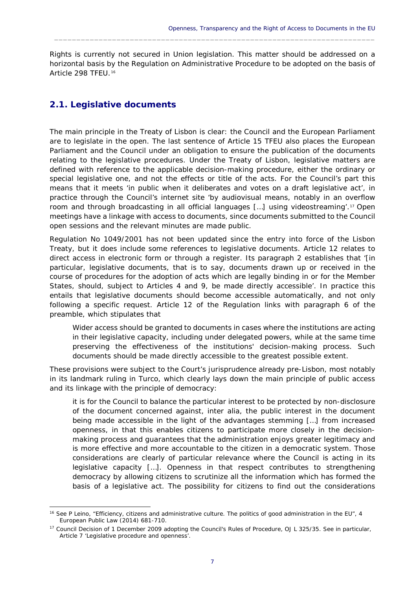Rights is currently not secured in Union legislation. This matter should be addressed on a horizontal basis by the Regulation on Administrative Procedure to be adopted on the basis of Article 298 TFEU.[16](#page-8-1)

 $\_$  , and the set of the set of the set of the set of the set of the set of the set of the set of the set of the set of the set of the set of the set of the set of the set of the set of the set of the set of the set of th

#### <span id="page-8-0"></span>**2.1. Legislative documents**

The main principle in the Treaty of Lisbon is clear: the Council and the European Parliament are to legislate in the open. The last sentence of Article 15 TFEU also places the European Parliament and the Council under an obligation to ensure the publication of the documents relating to the legislative procedures. Under the Treaty of Lisbon, legislative matters are defined with reference to the applicable decision-making procedure, either the ordinary or special legislative one, and not the effects or title of the acts. For the Council's part this means that it meets 'in public when it deliberates and votes on a draft legislative act', in practice through the Council's internet site 'by audiovisual means, notably in an overflow room and through broadcasting in all official languages […] using videostreaming'.[17](#page-8-2) Open meetings have a linkage with access to documents, since documents submitted to the Council open sessions and the relevant minutes are made public.

Regulation No 1049/2001 has not been updated since the entry into force of the Lisbon Treaty, but it does include some references to legislative documents. Article 12 relates to direct access in electronic form or through a register. Its paragraph 2 establishes that '[in particular, legislative documents, that is to say, documents drawn up or received in the course of procedures for the adoption of acts which are legally binding in or for the Member States, should, subject to Articles 4 and 9, be made directly accessible'. In practice this entails that legislative documents should become accessible automatically, and not only following a specific request. Article 12 of the Regulation links with paragraph 6 of the preamble, which stipulates that

*Wider access should be granted to documents in cases where the institutions are acting in their legislative capacity, including under delegated powers, while at the same time preserving the effectiveness of the institutions' decision-making process. Such documents should be made directly accessible to the greatest possible extent.*

These provisions were subject to the Court's jurisprudence already pre-Lisbon, most notably in its landmark ruling in *Turco,* which clearly lays down the main principle of public access and its linkage with the principle of democracy:

*it is for the Council to balance the particular interest to be protected by non-disclosure of the document concerned against, inter alia, the public interest in the document being made accessible in the light of the advantages stemming […] from increased openness, in that this enables citizens to participate more closely in the decisionmaking process and guarantees that the administration enjoys greater legitimacy and is more effective and more accountable to the citizen in a democratic system. Those considerations are clearly of particular relevance where the Council is acting in its legislative capacity [...]. Openness in that respect contributes to strengthening democracy by allowing citizens to scrutinize all the information which has formed the basis of a legislative act. The possibility for citizens to find out the considerations* 

<span id="page-8-1"></span><sup>&</sup>lt;sup>16</sup> See P Leino, "Efficiency, citizens and administrative culture. The politics of good administration in the EU", 4 *European Public Law* (2014) 681-710.

<span id="page-8-2"></span><sup>&</sup>lt;sup>17</sup> Council Decision of 1 December 2009 adopting the Council's Rules of Procedure, OJ L 325/35. See in particular, Article 7 'Legislative procedure and openness'.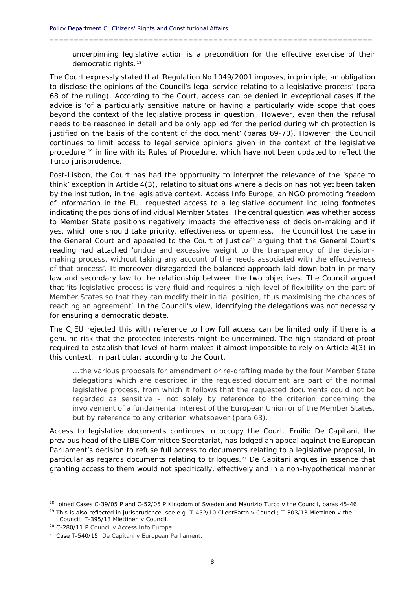*underpinning legislative action is a precondition for the effective exercise of their democratic rights.[18](#page-9-0)*

**\_\_\_\_\_\_\_\_\_\_\_\_\_\_\_\_\_\_\_\_\_\_\_\_\_\_\_\_\_\_\_\_\_\_\_\_\_\_\_\_\_\_\_\_\_\_\_\_\_\_\_\_\_\_\_\_\_\_\_\_\_\_\_\_\_**

The Court expressly stated that 'Regulation No 1049/2001 imposes, in principle, an obligation to disclose the opinions of the Council's legal service relating to a legislative process' (para 68 of the ruling). According to the Court, access can be denied in exceptional cases if the advice is 'of a particularly sensitive nature or having a particularly wide scope that goes beyond the context of the legislative process in question'. However, even then the refusal needs to be reasoned in detail and be only applied 'for the period during which protection is justified on the basis of the content of the document' (paras 69-70). However, the Council continues to limit access to legal service opinions given in the context of the legislative procedure,<sup>[19](#page-9-1)</sup> in line with its Rules of Procedure, which have not been updated to reflect the Turco jurisprudence.

Post-Lisbon, the Court has had the opportunity to interpret the relevance of the 'space to think' exception in Article 4(3), relating to situations where a decision has not yet been taken by the institution, in the legislative context. Access Info Europe, an NGO promoting freedom of information in the EU, requested access to a legislative document including footnotes indicating the positions of individual Member States. The central question was whether access to Member State positions negatively impacts the effectiveness of decision-making and if yes, which one should take priority, effectiveness or openness. The Council lost the case in the General Court and appealed to the Court of Justice<sup>[20](#page-9-2)</sup> arguing that the General Court's reading had attached *'*undue and excessive weight to the transparency of the decisionmaking process, without taking any account of the needs associated with the effectiveness of that process'*.* It moreover disregarded the balanced approach laid down both in primary law and secondary law to the relationship between the two objectives. The Council argued that 'its legislative process is very fluid and requires a high level of flexibility on the part of Member States so that they can modify their initial position, thus maximising the chances of reaching an agreement'. In the Council's view, identifying the delegations was not necessary for ensuring a democratic debate.

The CJEU rejected this with reference to how full access can be limited only if there is a genuine risk that the protected interests might be undermined. The high standard of proof required to establish that level of harm makes it almost impossible to rely on Article 4(3) in this context. In particular, according to the Court,

*...the various proposals for amendment or re-drafting made by the four Member State delegations which are described in the requested document are part of the normal legislative process, from which it follows that the requested documents could not be regarded as sensitive – not solely by reference to the criterion concerning the involvement of a fundamental interest of the European Union or of the Member States, but by reference to any criterion whatsoever (para 63).*

Access to legislative documents continues to occupy the Court. Emilio De Capitani, the previous head of the LIBE Committee Secretariat, has lodged an appeal against the European Parliament's decision to refuse full access to documents relating to a legislative proposal, in particular as regards documents relating to trilogues.[21](#page-9-3) De Capitani argues in essence that granting access to them would not specifically, effectively and in a non-hypothetical manner

<span id="page-9-0"></span> <sup>18</sup> Joined Cases C-39/05 P and C-52/05 P *Kingdom of Sweden and Maurizio Turco v the Council*, paras 45-46

<span id="page-9-1"></span><sup>19</sup> This is also reflected in jurisprudence, see e.g. T-452/10 *ClientEarth v Council*; T-303/13 *Miettinen v the Council*; T-395/13 *Miettinen v Council*.

<span id="page-9-2"></span><sup>20</sup> C-280/11 P *Council v Access Info Europe*.

<span id="page-9-3"></span><sup>21</sup> Case T-540/15, *De Capitani v European Parliament.*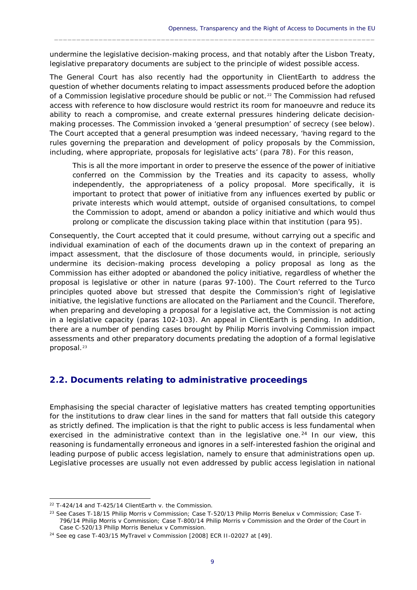undermine the legislative decision-making process, and that notably after the Lisbon Treaty, legislative preparatory documents are subject to the principle of widest possible access.

 $\_$  , and the set of the set of the set of the set of the set of the set of the set of the set of the set of the set of the set of the set of the set of the set of the set of the set of the set of the set of the set of th

The General Court has also recently had the opportunity in *ClientEarth* to address the question of whether documents relating to impact assessments produced before the adoption of a Commission legislative procedure should be public or not.[22](#page-10-1) The Commission had refused access with reference to how disclosure would restrict its room for manoeuvre and reduce its ability to reach a compromise, and create external pressures hindering delicate decisionmaking processes. The Commission invoked a 'general presumption' of secrecy (see below). The Court accepted that a general presumption was indeed necessary, 'having regard to the rules governing the preparation and development of policy proposals by the Commission, including, where appropriate, proposals for legislative acts' (para 78). For this reason,

*This is all the more important in order to preserve the essence of the power of initiative conferred on the Commission by the Treaties and its capacity to assess, wholly independently, the appropriateness of a policy proposal. More specifically, it is important to protect that power of initiative from any influences exerted by public or private interests which would attempt, outside of organised consultations, to compel the Commission to adopt, amend or abandon a policy initiative and which would thus prolong or complicate the discussion taking place within that institution* (para 95).

Consequently, the Court accepted that it could presume, without carrying out a specific and individual examination of each of the documents drawn up in the context of preparing an impact assessment, that the disclosure of those documents would, in principle, seriously undermine its decision-making process developing a policy proposal as long as the Commission has either adopted or abandoned the policy initiative, regardless of whether the proposal is legislative or other in nature (paras 97-100). The Court referred to the *Turco*  principles quoted above but stressed that despite the Commission's right of legislative initiative, the legislative functions are allocated on the Parliament and the Council. Therefore, when preparing and developing a proposal for a legislative act, the Commission is not acting in a legislative capacity (paras 102-103). An appeal in *ClientEarth* is pending. In addition, there are a number of pending cases brought by Philip Morris involving Commission impact assessments and other preparatory documents predating the adoption of a formal legislative proposal.<sup>[23](#page-10-2)</sup>

#### <span id="page-10-0"></span>**2.2. Documents relating to administrative proceedings**

Emphasising the special character of legislative matters has created tempting opportunities for the institutions to draw clear lines in the sand for matters that fall outside this category as strictly defined. The implication is that the right to public access is less fundamental when exercised in the administrative context than in the legislative one.<sup>[24](#page-10-3)</sup> In our view, this reasoning is fundamentally erroneous and ignores in a self-interested fashion the original and leading purpose of public access legislation, namely to ensure that administrations open up. Legislative processes are usually not even addressed by public access legislation in national

<span id="page-10-1"></span> <sup>22</sup> T-424/14 and T-425/14 *ClientEarth v. the Commission.*

<span id="page-10-2"></span><sup>23</sup> See Cases T-18/15 *Philip Morris v Commission*; Case T-520/13 *Philip Morris Benelux v Commission*; Case T-796/14 Philip Morris v Commission; Case T-800/14 Philip Morris v Commission and the Order of the Court in Case C-520/13 Philip Morris Benelux v Commission.

<span id="page-10-3"></span><sup>24</sup> See eg case T-403/15 *MyTravel v Commission* [2008] ECR II-02027 at [49].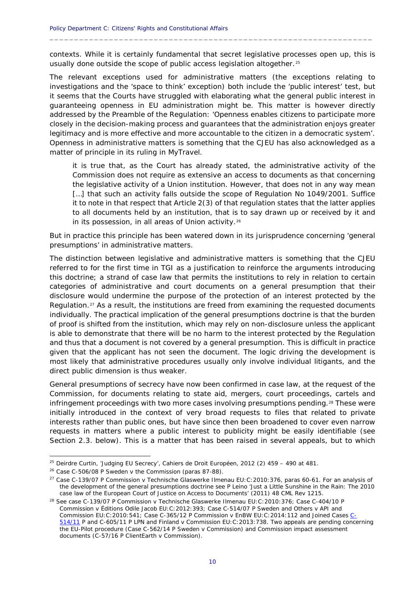contexts. While it is certainly fundamental that secret legislative processes open up, this is usually done outside the scope of public access legislation altogether.<sup>[25](#page-11-0)</sup>

**\_\_\_\_\_\_\_\_\_\_\_\_\_\_\_\_\_\_\_\_\_\_\_\_\_\_\_\_\_\_\_\_\_\_\_\_\_\_\_\_\_\_\_\_\_\_\_\_\_\_\_\_\_\_\_\_\_\_\_\_\_\_\_\_\_**

The relevant exceptions used for administrative matters (the exceptions relating to investigations and the 'space to think' exception) both include the 'public interest' test, but it seems that the Courts have struggled with elaborating what the general public interest in guaranteeing openness in EU administration might be. This matter is however directly addressed by the Preamble of the Regulation: 'Openness enables citizens to participate more closely in the decision-making process and guarantees that the administration enjoys greater legitimacy and is more effective and more accountable to the citizen in a democratic system'. Openness in administrative matters is something that the CJEU has also acknowledged as a matter of principle in its ruling in *MyTravel*.

*it is true that, as the Court has already stated, the administrative activity of the Commission does not require as extensive an access to documents as that concerning the legislative activity of a Union institution. However, that does not in any way mean*  [...] that such an activity falls outside the scope of Regulation No 1049/2001. Suffice *it to note in that respect that Article 2(3) of that regulation states that the latter applies to all documents held by an institution, that is to say drawn up or received by it and in its possession, in all areas of Union activity.[26](#page-11-1)*

But in practice this principle has been watered down in its jurisprudence concerning 'general presumptions' in administrative matters.

The distinction between legislative and administrative matters is something that the CJEU referred to for the first time in *TGI* as a justification to reinforce the arguments introducing this doctrine; a strand of case law that permits the institutions to rely in relation to certain categories of administrative and court documents on a general presumption that their disclosure would undermine the purpose of the protection of an interest protected by the Regulation.<sup>[27](#page-11-2)</sup> As a result, the institutions are freed from examining the requested documents individually. The practical implication of the general presumptions doctrine is that the burden of proof is shifted from the institution, which may rely on non-disclosure unless the applicant is able to demonstrate that there will be no harm to the interest protected by the Regulation and thus that a document is not covered by a general presumption. This is difficult in practice given that the applicant has not seen the document. The logic driving the development is most likely that administrative procedures usually only involve individual litigants, and the direct public dimension is thus weaker.

General presumptions of secrecy have now been confirmed in case law, at the request of the Commission, for documents relating to state aid, mergers, court proceedings, cartels and infringement proceedings with two more cases involving presumptions pending.<sup>[28](#page-11-3)</sup> These were initially introduced in the context of very broad requests to files that related to private interests rather than public ones, but have since then been broadened to cover even narrow requests in matters where a public interest to publicity might be easily identifiable (see Section 2.3. below). This is a matter that has been raised in several appeals, but to which

<span id="page-11-0"></span> <sup>25</sup> Deirdre Curtin, 'Judging EU Secrecy', *Cahiers de Droit Européen*, 2012 (2) 459 – 490 at 481.

<span id="page-11-1"></span><sup>26</sup> Case C-506/08 P *Sweden v the Commission* (paras 87-88).

<span id="page-11-2"></span><sup>27</sup> Case C-139/07 P *Commission v Technische Glaswerke Ilmenau* EU:C:2010:376, paras 60-61. For an analysis of the development of the general presumptions doctrine see P Leino 'Just a Little Sunshine in the Rain: The 2010 case law of the European Court of Justice on Access to Documents' (2011) 48 *CML Rev* 1215.

<span id="page-11-3"></span><sup>28</sup> See case C-139/07 P *Commission v Technische Glaswerke Ilmenau* EU:C:2010:376; Case C-404/10 P *Commission v Éditions Odile Jacob* EU:C:2012:393; Case C-514/07 P Sweden and Others v API and Commission EU: C: 2010: 541; Case C-365/12 P Commission v EnBW EU: C: 2014: 112 and Joined Cases [C-](http://curia.europa.eu/juris/liste.jsf?num=C-514/11&language=en)[514/11](http://curia.europa.eu/juris/liste.jsf?num=C-514/11&language=en) P and C-605/11 P *LPN and Finland v Commission* EU:C:2013:738. Two appeals are pending concerning the EU-Pilot procedure (Case C-562/14 P *Sweden v Commission*) and Commission impact assessment documents (C-57/16 P *ClientEarth v Commission*).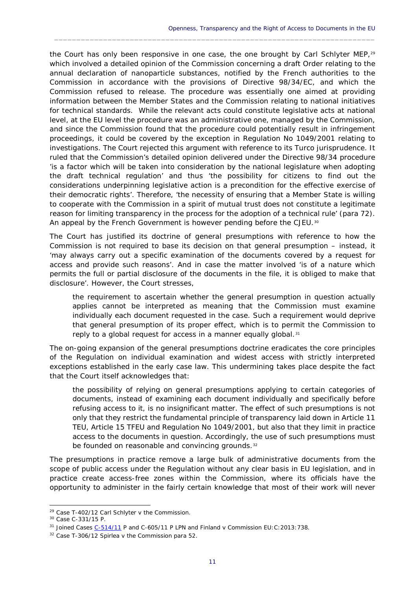the Court has only been responsive in one case, the one brought by Carl Schlyter MEP,<sup>[29](#page-12-0)</sup> which involved a detailed opinion of the Commission concerning a draft Order relating to the annual declaration of nanoparticle substances, notified by the French authorities to the Commission in accordance with the provisions of Directive 98/34/EC, and which the Commission refused to release. The procedure was essentially one aimed at providing information between the Member States and the Commission relating to national initiatives for technical standards. While the relevant acts could constitute legislative acts at national level, at the EU level the procedure was an administrative one, managed by the Commission, and since the Commission found that the procedure could potentially result in infringement proceedings, it could be covered by the exception in Regulation No 1049/2001 relating to investigations. The Court rejected this argument with reference to its *Turco* jurisprudence. It ruled that the Commission's detailed opinion delivered under the Directive 98/34 procedure 'is a factor which will be taken into consideration by the national legislature when adopting the draft technical regulation' and thus 'the possibility for citizens to find out the considerations underpinning legislative action is a precondition for the effective exercise of their democratic rights'. Therefore, 'the necessity of ensuring that a Member State is willing to cooperate with the Commission in a spirit of mutual trust does not constitute a legitimate reason for limiting transparency in the process for the adoption of a technical rule' (para 72). An appeal by the French Government is however pending before the CJEU.<sup>[30](#page-12-1)</sup>

 $\_$  , and the set of the set of the set of the set of the set of the set of the set of the set of the set of the set of the set of the set of the set of the set of the set of the set of the set of the set of the set of th

The Court has justified its doctrine of general presumptions with reference to how the Commission is not required to base its decision on that general presumption – instead, it 'may always carry out a specific examination of the documents covered by a request for access and provide such reasons'. And in case the matter involved 'is of a nature which permits the full or partial disclosure of the documents in the file, it is obliged to make that disclosure'. However, the Court stresses,

*the requirement to ascertain whether the general presumption in question actually applies cannot be interpreted as meaning that the Commission must examine individually each document requested in the case. Such a requirement would deprive that general presumption of its proper effect, which is to permit the Commission to reply to a global request for access in a manner equally global.[31](#page-12-2)*

The on-going expansion of the general presumptions doctrine eradicates the core principles of the Regulation on individual examination and widest access with strictly interpreted exceptions established in the early case law. This undermining takes place despite the fact that the Court itself acknowledges that:

*the possibility of relying on general presumptions applying to certain categories of documents, instead of examining each document individually and specifically before refusing access to it, is no insignificant matter. The effect of such presumptions is not only that they restrict the fundamental principle of transparency laid down in Article 11 TEU, Article 15 TFEU and Regulation No 1049/2001, but also that they limit in practice access to the documents in question. Accordingly, the use of such presumptions must be founded on reasonable and convincing grounds.[32](#page-12-3)*

The presumptions in practice remove a large bulk of administrative documents from the scope of public access under the Regulation without any clear basis in EU legislation, and in practice create access-free zones within the Commission, where its officials have the opportunity to administer in the fairly certain knowledge that most of their work will never

<span id="page-12-0"></span> <sup>29</sup> Case T-402/12 *Carl Schlyter v the Commission.*

<span id="page-12-1"></span><sup>30</sup> Case C-331/15 P.

<span id="page-12-2"></span><sup>31</sup> Joined Case[s C-514/11](http://curia.europa.eu/juris/liste.jsf?num=C-514/11&language=en) P and C-605/11 P *LPN and Finland v Commission* EU:C:2013:738.

<span id="page-12-3"></span><sup>32</sup> Case T-306/12 *Spirlea v the Commission* para 52.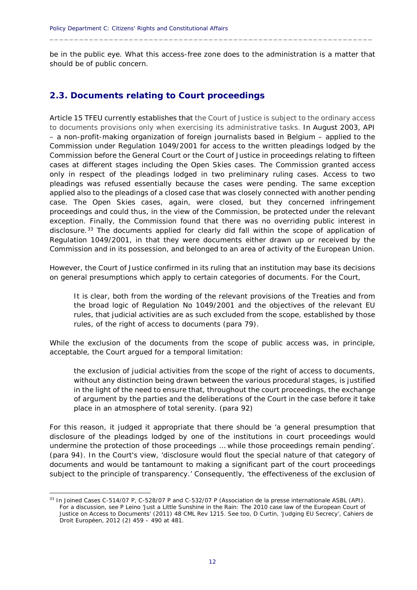be in the public eye. What this access-free zone does to the administration is a matter that should be of public concern.

**\_\_\_\_\_\_\_\_\_\_\_\_\_\_\_\_\_\_\_\_\_\_\_\_\_\_\_\_\_\_\_\_\_\_\_\_\_\_\_\_\_\_\_\_\_\_\_\_\_\_\_\_\_\_\_\_\_\_\_\_\_\_\_\_\_**

#### <span id="page-13-0"></span>**2.3. Documents relating to Court proceedings**

Article 15 TFEU currently establishes that the Court of Justice is subject to the ordinary access to documents provisions only when exercising its administrative tasks. In August 2003, API – a non-profit-making organization of foreign journalists based in Belgium – applied to the Commission under Regulation 1049/2001 for access to the written pleadings lodged by the Commission before the General Court or the Court of Justice in proceedings relating to fifteen cases at different stages including the *Open Skies* cases. The Commission granted access only in respect of the pleadings lodged in two preliminary ruling cases. Access to two pleadings was refused essentially because the cases were pending. The same exception applied also to the pleadings of a closed case that was closely connected with another pending case. The *Open Skies* cases, again, were closed, but they concerned infringement proceedings and could thus, in the view of the Commission, be protected under the relevant exception. Finally, the Commission found that there was no overriding public interest in disclosure.<sup>[33](#page-13-1)</sup> The documents applied for clearly did fall within the scope of application of Regulation 1049/2001, in that they were documents either drawn up or received by the Commission and in its possession, and belonged to an area of activity of the European Union.

However, the Court of Justice confirmed in its ruling that an institution may base its decisions on general presumptions which apply to certain categories of documents. For the Court,

*It is clear, both from the wording of the relevant provisions of the Treaties and from the broad logic of Regulation No 1049/2001 and the objectives of the relevant EU rules, that judicial activities are as such excluded from the scope, established by those rules, of the right of access to documents* (para 79).

While the exclusion of the documents from the scope of public access was, in principle, acceptable, the Court argued for a temporal limitation:

*the exclusion of judicial activities from the scope of the right of access to documents, without any distinction being drawn between the various procedural stages, is justified in the light of the need to ensure that, throughout the court proceedings, the exchange of argument by the parties and the deliberations of the Court in the case before it take place in an atmosphere of total serenity*. (para 92)

For this reason, it judged it appropriate that there should be 'a general presumption that disclosure of the pleadings lodged by one of the institutions in court proceedings would undermine the protection of those proceedings … while those proceedings remain pending'. (para 94). In the Court's view, 'disclosure would flout the special nature of that category of documents and would be tantamount to making a significant part of the court proceedings subject to the principle of transparency.' Consequently, 'the effectiveness of the exclusion of

<span id="page-13-1"></span> <sup>33</sup> In Joined Cases C-514/07 P, C-528/07 P and C-532/07 P (*Association de la presse internationale ASBL (API)*. For a discussion, see P Leino 'Just a Little Sunshine in the Rain: The 2010 case law of the European Court of Justice on Access to Documents' (2011) 48 *CML Rev* 1215. See too, D Curtin, 'Judging EU Secrecy', *Cahiers de Droit Européen*, 2012 (2) 459 – 490 at 481.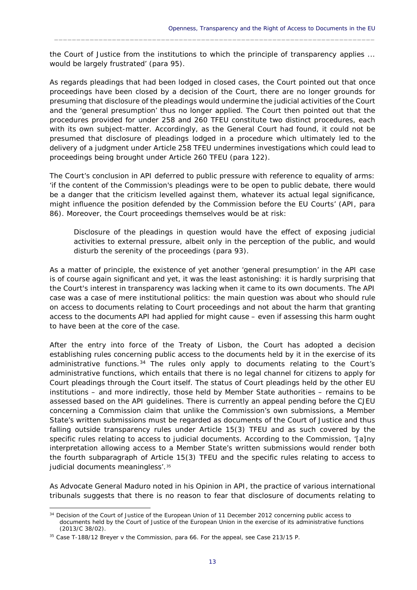the Court of Justice from the institutions to which the principle of transparency applies ... would be largely frustrated' (para 95).

 $\_$  , and the set of the set of the set of the set of the set of the set of the set of the set of the set of the set of the set of the set of the set of the set of the set of the set of the set of the set of the set of th

As regards pleadings that had been lodged in closed cases, the Court pointed out that once proceedings have been closed by a decision of the Court, there are no longer grounds for presuming that disclosure of the pleadings would undermine the judicial activities of the Court and the 'general presumption' thus no longer applied. The Court then pointed out that the procedures provided for under 258 and 260 TFEU constitute two distinct procedures, each with its own subject-matter. Accordingly, as the General Court had found, it could not be presumed that disclosure of pleadings lodged in a procedure which ultimately led to the delivery of a judgment under Article 258 TFEU undermines investigations which could lead to proceedings being brought under Article 260 TFEU (para 122).

The Court's conclusion in *API* deferred to public pressure with reference to equality of arms: 'if the content of the Commission's pleadings were to be open to public debate, there would be a danger that the criticism levelled against them, whatever its actual legal significance, might influence the position defended by the Commission before the EU Courts' (*API*, para 86). Moreover, the Court proceedings themselves would be at risk:

*Disclosure of the pleadings in question would have the effect of exposing judicial activities to external pressure, albeit only in the perception of the public, and would disturb the serenity of the proceedings* (para 93).

As a matter of principle, the existence of yet another 'general presumption' in the *API* case is of course again significant and yet, it was the least astonishing: it is hardly surprising that the Court's interest in transparency was lacking when it came to its own documents. The *API*  case was a case of mere institutional politics: the main question was about who should rule on access to documents relating to Court proceedings and not about the harm that granting access to the documents API had applied for might cause – even if assessing this harm ought to have been at the core of the case.

After the entry into force of the Treaty of Lisbon, the Court has adopted a decision establishing rules concerning public access to the documents held by it in the exercise of its administrative functions.[34](#page-14-0) The rules only apply to documents relating to the Court's administrative functions, which entails that there is no legal channel for citizens to apply for Court pleadings through the Court itself. The status of Court pleadings held by the other EU institutions – and more indirectly, those held by Member State authorities – remains to be assessed based on the *API* guidelines. There is currently an appeal pending before the CJEU concerning a Commission claim that unlike the Commission's own submissions, a Member State's written submissions must be regarded as documents of the Court of Justice and thus falling outside transparency rules under Article 15(3) TFEU and as such covered by the specific rules relating to access to judicial documents. According to the Commission, '[a]ny interpretation allowing access to a Member State's written submissions would render both the fourth subparagraph of Article 15(3) TFEU and the specific rules relating to access to judicial documents meaningless'. [35](#page-14-1)

As Advocate General Maduro noted in his Opinion in *API*, the practice of various international tribunals suggests that there is no reason to fear that disclosure of documents relating to

<span id="page-14-0"></span><sup>&</sup>lt;sup>34</sup> Decision of the Court of Justice of the European Union of 11 December 2012 concerning public access to documents held by the Court of Justice of the European Union in the exercise of its administrative functions (2013/C 38/02).

<span id="page-14-1"></span><sup>35</sup> Case T-188/12 *Breyer v the Commission*, para 66. For the appeal, see Case 213/15 P.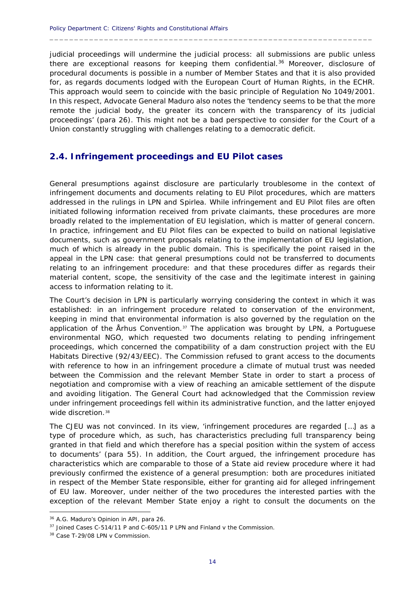judicial proceedings will undermine the judicial process: all submissions are public unless there are exceptional reasons for keeping them confidential. $36$  Moreover, disclosure of procedural documents is possible in a number of Member States and that it is also provided for, as regards documents lodged with the European Court of Human Rights, in the ECHR. This approach would seem to coincide with the basic principle of Regulation No 1049/2001. In this respect, Advocate General Maduro also notes the 'tendency seems to be that the more remote the judicial body, the greater its concern with the transparency of its judicial proceedings' (para 26). This might not be a bad perspective to consider for the Court of a Union constantly struggling with challenges relating to a democratic deficit.

**\_\_\_\_\_\_\_\_\_\_\_\_\_\_\_\_\_\_\_\_\_\_\_\_\_\_\_\_\_\_\_\_\_\_\_\_\_\_\_\_\_\_\_\_\_\_\_\_\_\_\_\_\_\_\_\_\_\_\_\_\_\_\_\_\_**

#### <span id="page-15-0"></span>**2.4. Infringement proceedings and EU Pilot cases**

General presumptions against disclosure are particularly troublesome in the context of infringement documents and documents relating to EU Pilot procedures, which are matters addressed in the rulings in *LPN* and *Spirlea*. While infringement and EU Pilot files are often initiated following information received from private claimants, these procedures are more broadly related to the implementation of EU legislation, which is matter of general concern. In practice, infringement and EU Pilot files can be expected to build on national legislative documents, such as government proposals relating to the implementation of EU legislation, much of which is already in the public domain. This is specifically the point raised in the appeal in the *LPN* case: that general presumptions could not be transferred to documents relating to an infringement procedure: and that these procedures differ as regards their material content, scope, the sensitivity of the case and the legitimate interest in gaining access to information relating to it.

The Court's decision in *LPN* is particularly worrying considering the context in which it was established: in an infringement procedure related to conservation of the environment, keeping in mind that environmental information is also governed by the regulation on the application of the Århus Convention. $37$  The application was brought by LPN, a Portuguese environmental NGO, which requested two documents relating to pending infringement proceedings, which concerned the compatibility of a dam construction project with the EU Habitats Directive (92/43/EEC). The Commission refused to grant access to the documents with reference to how in an infringement procedure a climate of mutual trust was needed between the Commission and the relevant Member State in order to start a process of negotiation and compromise with a view of reaching an amicable settlement of the dispute and avoiding litigation. The General Court had acknowledged that the Commission review under infringement proceedings fell within its administrative function, and the latter enjoyed wide discretion.<sup>[38](#page-15-3)</sup>

The CJEU was not convinced. In its view, 'infringement procedures are regarded […] as a type of procedure which, as such, has characteristics precluding full transparency being granted in that field and which therefore has a special position within the system of access to documents' (para 55). In addition, the Court argued, the infringement procedure has characteristics which are comparable to those of a State aid review procedure where it had previously confirmed the existence of a general presumption: both are procedures initiated in respect of the Member State responsible, either for granting aid for alleged infringement of EU law. Moreover, under neither of the two procedures the interested parties with the exception of the relevant Member State enjoy a right to consult the documents on the

<span id="page-15-1"></span> <sup>36</sup> A.G. Maduro's Opinion in *API*, para 26.

<span id="page-15-2"></span><sup>37</sup> Joined Cases C-514/11 P and C-605/11 P *LPN and Finland v the Commission.*

<span id="page-15-3"></span><sup>38</sup> Case T-29/08 LPN v Commission.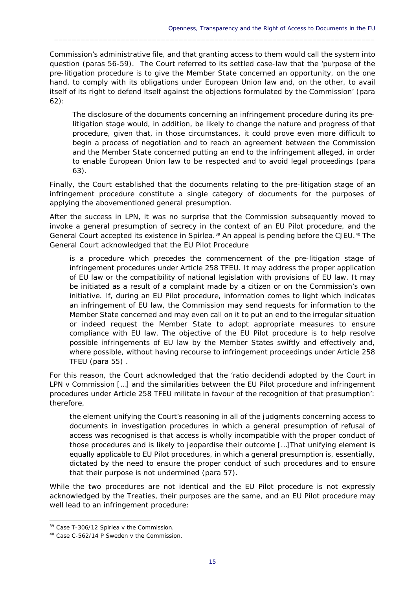Commission's administrative file, and that granting access to them would call the system into question (paras 56-59). The Court referred to its settled case-law that the 'purpose of the pre-litigation procedure is to give the Member State concerned an opportunity, on the one hand, to comply with its obligations under European Union law and, on the other, to avail itself of its right to defend itself against the objections formulated by the Commission' (para 62):

 $\_$  , and the set of the set of the set of the set of the set of the set of the set of the set of the set of the set of the set of the set of the set of the set of the set of the set of the set of the set of the set of th

*The disclosure of the documents concerning an infringement procedure during its prelitigation stage would, in addition, be likely to change the nature and progress of that procedure, given that, in those circumstances, it could prove even more difficult to begin a process of negotiation and to reach an agreement between the Commission and the Member State concerned putting an end to the infringement alleged, in order to enable European Union law to be respected and to avoid legal proceedings (para 63).* 

Finally, the Court established that the documents relating to the pre-litigation stage of an infringement procedure constitute a single category of documents for the purposes of applying the abovementioned general presumption.

After the success in *LPN*, it was no surprise that the Commission subsequently moved to invoke a general presumption of secrecy in the context of an EU Pilot procedure, and the General Court accepted its existence in *Spirlea*.[39](#page-16-0) An appeal is pending before the CJEU.[40](#page-16-1) The General Court acknowledged that the EU Pilot Procedure

is a procedure which precedes the commencement of the pre-litigation stage of *infringement procedures under Article 258 TFEU. It may address the proper application of EU law or the compatibility of national legislation with provisions of EU law. It may be initiated as a result of a complaint made by a citizen or on the Commission's own initiative. If, during an EU Pilot procedure, information comes to light which indicates an infringement of EU law, the Commission may send requests for information to the Member State concerned and may even call on it to put an end to the irregular situation or indeed request the Member State to adopt appropriate measures to ensure compliance with EU law. The objective of the EU Pilot procedure is to help resolve possible infringements of EU law by the Member States swiftly and effectively and, where possible, without having recourse to infringement proceedings under Article 258 TFEU (para 55) .*

For this reason, the Court acknowledged that the '*ratio decidendi* adopted by the Court in *LPN* v *Commission* […] and the similarities between the EU Pilot procedure and infringement procedures under Article 258 TFEU militate in favour of the recognition of that presumption': therefore,

*the element unifying the Court's reasoning in all of the judgments concerning access to*  documents in investigation procedures in which a general presumption of refusal of *access was recognised is that access is wholly incompatible with the proper conduct of those procedures and is likely to jeopardise their outcome […]That unifying element is equally applicable to EU Pilot procedures, in which a general presumption is, essentially, dictated by the need to ensure the proper conduct of such procedures and to ensure that their purpose is not undermined (para 57).* 

While the two procedures are not identical and the EU Pilot procedure is not expressly acknowledged by the Treaties, their purposes are the same, and an EU Pilot procedure may well lead to an infringement procedure:

<span id="page-16-0"></span> <sup>39</sup> Case T-306/12 *Spirlea v the Commission.*

<span id="page-16-1"></span><sup>40</sup> Case C-562/14 P *Sweden v the Commission.*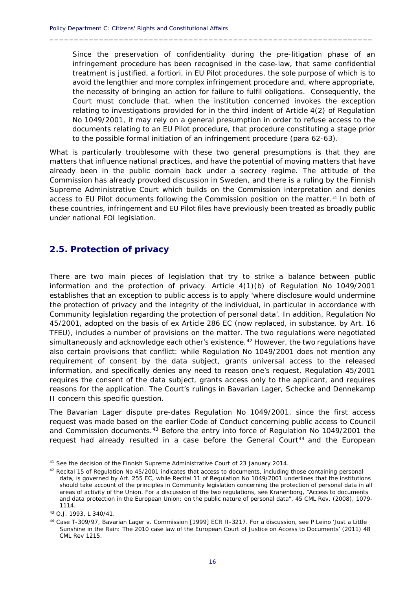*Since the preservation of confidentiality during the pre-litigation phase of an infringement procedure has been recognised in the case-law, that same confidential treatment is justified, a fortiori, in EU Pilot procedures, the sole purpose of which is to avoid the lengthier and more complex infringement procedure and, where appropriate, the necessity of bringing an action for failure to fulfil obligations. Consequently, the Court must conclude that, when the institution concerned invokes the exception relating to investigations provided for in the third indent of Article 4(2) of Regulation No 1049/2001, it may rely on a general presumption in order to refuse access to the documents relating to an EU Pilot procedure, that procedure constituting a stage prior to the possible formal initiation of an infringement procedure (para 62-63).*

**\_\_\_\_\_\_\_\_\_\_\_\_\_\_\_\_\_\_\_\_\_\_\_\_\_\_\_\_\_\_\_\_\_\_\_\_\_\_\_\_\_\_\_\_\_\_\_\_\_\_\_\_\_\_\_\_\_\_\_\_\_\_\_\_\_**

What is particularly troublesome with these two general presumptions is that they are matters that influence national practices, and have the potential of moving matters that have already been in the public domain back under a secrecy regime. The attitude of the Commission has already provoked discussion in Sweden, and there is a ruling by the Finnish Supreme Administrative Court which builds on the Commission interpretation and denies access to EU Pilot documents following the Commission position on the matter.[41](#page-17-1) In both of these countries, infringement and EU Pilot files have previously been treated as broadly public under national FOI legislation.

#### <span id="page-17-0"></span>**2.5. Protection of privacy**

There are two main pieces of legislation that try to strike a balance between public information and the protection of privacy. Article 4(1)(b) of Regulation No 1049/2001 establishes that an exception to public access is to apply 'where disclosure would undermine the protection of privacy and the integrity of the individual, in particular in accordance with Community legislation regarding the protection of personal data'. In addition, Regulation No 45/2001, adopted on the basis of ex Article 286 EC (now replaced, in substance, by Art. 16 TFEU), includes a number of provisions on the matter. The two regulations were negotiated simultaneously and acknowledge each other's existence.<sup>[42](#page-17-2)</sup> However, the two regulations have also certain provisions that conflict: while Regulation No 1049/2001 does not mention any requirement of consent by the data subject, grants universal access to the released information, and specifically denies any need to reason one's request, Regulation 45/2001 requires the consent of the data subject, grants access only to the applicant, and requires reasons for the application. The Court's rulings in *Bavarian Lager, Schecke and Dennekamp II* concern this specific question.

The *Bavarian Lager* dispute pre-dates Regulation No 1049/2001, since the first access request was made based on the earlier Code of Conduct concerning public access to Council and Commission documents.<sup>[43](#page-17-3)</sup> Before the entry into force of Regulation No 1049/2001 the request had already resulted in a case before the General Court<sup>[44](#page-17-4)</sup> and the European

<span id="page-17-1"></span> <sup>41</sup> See the decision of the Finnish Supreme Administrative Court of 23 January 2014.

<span id="page-17-2"></span><sup>42</sup> Recital 15 of Regulation No 45/2001 indicates that access to documents, including those containing personal data, is governed by Art. 255 EC, while Recital 11 of Regulation No 1049/2001 underlines that the institutions should take account of the principles in Community legislation concerning the protection of personal data in all areas of activity of the Union. For a discussion of the two regulations, see Kranenborg, "Access to documents and data protection in the European Union: on the public nature of personal data", 45 CML Rev. (2008), 1079- 1114.

<span id="page-17-3"></span><sup>43</sup> O.J. 1993, L 340/41.

<span id="page-17-4"></span><sup>44</sup> Case T-309/97, *Bavarian Lager* v. *Commission* [1999] ECR II-3217. For a discussion, see P Leino 'Just a Little Sunshine in the Rain: The 2010 case law of the European Court of Justice on Access to Documents' (2011) 48 *CML Rev* 1215.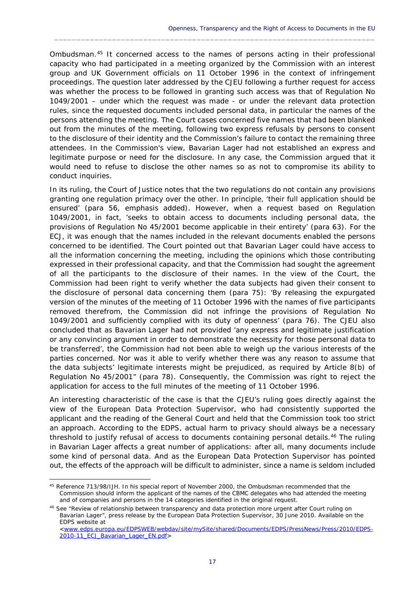Ombudsman.[45](#page-18-0) It concerned access to the names of persons acting in their professional capacity who had participated in a meeting organized by the Commission with an interest group and UK Government officials on 11 October 1996 in the context of infringement proceedings. The question later addressed by the CJEU following a further request for access was whether the process to be followed in granting such access was that of Regulation No 1049/2001 – under which the request was made - or under the relevant data protection rules, since the requested documents included personal data, in particular the names of the persons attending the meeting. The Court cases concerned five names that had been blanked out from the minutes of the meeting, following two express refusals by persons to consent to the disclosure of their identity and the Commission's failure to contact the remaining three attendees. In the Commission's view, Bavarian Lager had not established an express and legitimate purpose or need for the disclosure. In any case, the Commission argued that it would need to refuse to disclose the other names so as not to compromise its ability to conduct inquiries.

 $\_$  , and the set of the set of the set of the set of the set of the set of the set of the set of the set of the set of the set of the set of the set of the set of the set of the set of the set of the set of the set of th

In its ruling, the Court of Justice notes that the two regulations do not contain any provisions granting one regulation primacy over the other. In principle, 'their full application should be ensured' (para 56, emphasis added). However, when a request based on Regulation 1049/2001, in fact, 'seeks to obtain access to documents including personal data, the provisions of Regulation No 45/2001 become applicable in their entirety' (para 63). For the ECJ, it was enough that the names included in the relevant documents enabled the persons concerned to be identified. The Court pointed out that Bavarian Lager could have access to all the information concerning the meeting, including the opinions which those contributing expressed in their professional capacity, and that the Commission had sought the agreement of all the participants to the disclosure of their names. In the view of the Court, the Commission had been right to verify whether the data subjects had given their consent to the disclosure of personal data concerning them (para 75): 'By releasing the expurgated version of the minutes of the meeting of 11 October 1996 with the names of five participants removed therefrom, the Commission did not infringe the provisions of Regulation No 1049/2001 and sufficiently complied with its duty of openness' *(*para 76). The CJEU also concluded that as Bavarian Lager had not provided 'any express and legitimate justification or any convincing argument in order to demonstrate the necessity for those personal data to be transferred', the Commission had not been able to weigh up the various interests of the parties concerned. Nor was it able to verify whether there was any reason to assume that the data subjects' legitimate interests might be prejudiced, as required by Article 8(b) of Regulation No 45/2001" (para 78). Consequently, the Commission was right to reject the application for access to the full minutes of the meeting of 11 October 1996.

An interesting characteristic of the case is that the CJEU's ruling goes directly against the view of the European Data Protection Supervisor, who had consistently supported the applicant and the reading of the General Court and held that the Commission took too strict an approach. According to the EDPS, actual harm to privacy should always be a necessary threshold to justify refusal of access to documents containing personal details.[46](#page-18-1) The ruling in *Bavarian Lager* affects a great number of applications: after all, many documents include some kind of personal data. And as the European Data Protection Supervisor has pointed out, the effects of the approach will be difficult to administer, since a name is seldom included

<span id="page-18-0"></span> <sup>45</sup> Reference 713/98/IJH. In his special report of November 2000, the Ombudsman recommended that the Commission should inform the applicant of the names of the CBMC delegates who had attended the meeting and of companies and persons in the 14 categories identified in the original request.

<span id="page-18-1"></span><sup>46</sup> See "Review of relationship between transparency and data protection more urgent after Court ruling on Bavarian Lager", press release by the European Data Protection Supervisor, 30 June 2010. Available on the EDPS website at

<sup>&</sup>lt;www.edps.europa.eu/EDPSWEB/webdav/site/mySite/shared/Documents/EDPS/PressNews/Press/2010/EDPS-2010-11\_ECJ\_Bavarian\_Lager\_EN.pdf>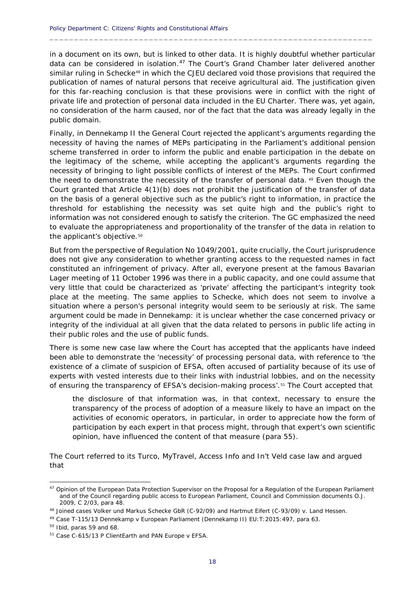in a document on its own, but is linked to other data. It is highly doubtful whether particular data can be considered in isolation.*[47](#page-19-0)* The Court's Grand Chamber later delivered another similar ruling in *Schecke*[48](#page-19-1) in which the CJEU declared void those provisions that required the publication of names of natural persons that receive agricultural aid. The justification given for this far-reaching conclusion is that these provisions were in conflict with the right of private life and protection of personal data included in the EU Charter. There was, yet again, no consideration of the harm caused, nor of the fact that the data was already legally in the public domain.

**\_\_\_\_\_\_\_\_\_\_\_\_\_\_\_\_\_\_\_\_\_\_\_\_\_\_\_\_\_\_\_\_\_\_\_\_\_\_\_\_\_\_\_\_\_\_\_\_\_\_\_\_\_\_\_\_\_\_\_\_\_\_\_\_\_**

Finally, in *Dennekamp II* the General Court rejected the applicant's arguments regarding the necessity of having the names of MEPs participating in the Parliament's additional pension scheme transferred in order to inform the public and enable participation in the debate on the legitimacy of the scheme, while accepting the applicant's arguments regarding the necessity of bringing to light possible conflicts of interest of the MEPs. The Court confirmed the need to demonstrate the necessity of the transfer of personal data. <sup>[49](#page-19-2)</sup> Even though the Court granted that Article 4(1)(b) does not prohibit the justification of the transfer of data on the basis of a general objective such as the public's right to information, in practice the threshold for establishing the necessity was set quite high and the public's right to information was not considered enough to satisfy the criterion. The GC emphasized the need to evaluate the appropriateness and proportionality of the transfer of the data in relation to the applicant's objective.<sup>50</sup>

But from the perspective of Regulation No 1049/2001, quite crucially, the Court jurisprudence does not give any consideration to whether granting access to the requested names in fact constituted an infringement of privacy. After all, everyone present at the famous *Bavarian Lager* meeting of 11 October 1996 was there in a public capacity, and one could assume that very little that could be characterized as 'private' affecting the participant's integrity took place at the meeting. The same applies to *Schecke*, which does not seem to involve a situation where a person's personal integrity would seem to be seriously at risk. The same argument could be made in *Dennekamp*: it is unclear whether the case concerned privacy or integrity of the individual at all given that the data related to persons in public life acting in their public roles and the use of public funds.

There is some new case law where the Court has accepted that the applicants have indeed been able to demonstrate the 'necessity' of processing personal data, with reference to 'the existence of a climate of suspicion of EFSA, often accused of partiality because of its use of experts with vested interests due to their links with industrial lobbies, and on the necessity of ensuring the transparency of EFSA's decision-making process'.[51](#page-19-4) The Court accepted that

*the disclosure of that information was, in that context, necessary to ensure the transparency of the process of adoption of a measure likely to have an impact on the activities of economic operators, in particular, in order to appreciate how the form of participation by each expert in that process might, through that expert's own scientific opinion, have influenced the content of that measure* (para 55).

The Court referred to its *Turco*, *MyTravel*, *Access Info* and *In't Veld* case law and argued that

<span id="page-19-0"></span><sup>&</sup>lt;sup>47</sup> Opinion of the European Data Protection Supervisor on the Proposal for a Regulation of the European Parliament and of the Council regarding public access to European Parliament, Council and Commission documents O.J. 2009, C 2/03, para 48.

<span id="page-19-1"></span><sup>48</sup> Joined cases Volker und Markus Schecke GbR (C-92/09) and Hartmut Eifert (C-93/09) v. Land Hessen.

<span id="page-19-2"></span><sup>49</sup> Case T-115/13 Dennekamp v European Parliament (Dennekamp II) EU:T:2015:497, para 63.

<span id="page-19-3"></span> $50$  Ibid, paras 59 and 68.

<span id="page-19-4"></span><sup>51</sup> Case C-615/13 P *ClientEarth and PAN Europe v EFSA*.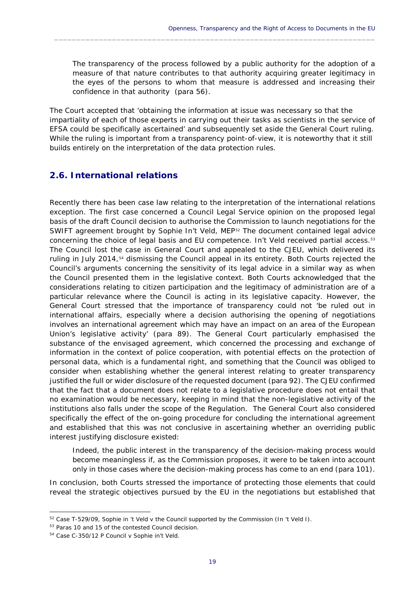*The transparency of the process followed by a public authority for the adoption of a measure of that nature contributes to that authority acquiring greater legitimacy in the eyes of the persons to whom that measure is addressed and increasing their confidence in that authority (para 56).* 

 $\_$  , and the set of the set of the set of the set of the set of the set of the set of the set of the set of the set of the set of the set of the set of the set of the set of the set of the set of the set of the set of th

The Court accepted that 'obtaining the information at issue was necessary so that the impartiality of each of those experts in carrying out their tasks as scientists in the service of EFSA could be specifically ascertained' and subsequently set aside the General Court ruling. While the ruling is important from a transparency point-of-view, it is noteworthy that it still builds entirely on the interpretation of the data protection rules.

#### <span id="page-20-0"></span>**2.6. International relations**

Recently there has been case law relating to the interpretation of the international relations exception. The first case concerned a Council Legal Service opinion on the proposed legal basis of the draft Council decision to authorise the Commission to launch negotiations for the SWIFT agreement brought by Sophie In't Veld, MEP<sup>[52](#page-20-1)</sup> The document contained legal advice concerning the choice of legal basis and EU competence. In't Veld received partial access.<sup>[53](#page-20-2)</sup> The Council lost the case in General Court and appealed to the CJEU, which delivered its ruling in July 2014,[54](#page-20-3) dismissing the Council appeal in its entirety. Both Courts rejected the Council's arguments concerning the sensitivity of its legal advice in a similar way as when the Council presented them in the legislative context. Both Courts acknowledged that the considerations relating to citizen participation and the legitimacy of administration are of a particular relevance where the Council is acting in its legislative capacity. However, the General Court stressed that the importance of transparency could not 'be ruled out in international affairs, especially where a decision authorising the opening of negotiations involves an international agreement which may have an impact on an area of the European Union's legislative activity' (para 89). The General Court particularly emphasised the substance of the envisaged agreement, which concerned the processing and exchange of information in the context of police cooperation, with potential effects on the protection of personal data, which is a fundamental right, and something that the Council was obliged to consider when establishing whether the general interest relating to greater transparency justified the full or wider disclosure of the requested document (para 92). The CJEU confirmed that the fact that a document does not relate to a legislative procedure does not entail that no examination would be necessary, keeping in mind that the non-legislative activity of the institutions also falls under the scope of the Regulation. The General Court also considered specifically the effect of the on-going procedure for concluding the international agreement and established that this was not conclusive in ascertaining whether an overriding public interest justifying disclosure existed:

*Indeed, the public interest in the transparency of the decision-making process would become meaningless if, as the Commission proposes, it were to be taken into account only in those cases where the decision-making process has come to an end (para 101).*

In conclusion, both Courts stressed the importance of protecting those elements that could reveal the strategic objectives pursued by the EU in the negotiations but established that

<span id="page-20-1"></span> <sup>52</sup> Case T-529/09, *Sophie in 't Veld v the Council* supported by the Commission (*In 't Veld I*).

<span id="page-20-2"></span><sup>53</sup> Paras 10 and 15 of the contested Council decision.

<span id="page-20-3"></span><sup>54</sup> Case C-350/12 P *Council v Sophie in't Veld.*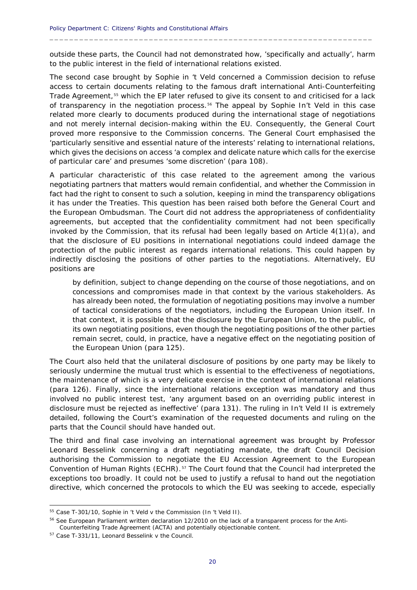outside these parts, the Council had not demonstrated how, 'specifically and actually', harm to the public interest in the field of international relations existed.

**\_\_\_\_\_\_\_\_\_\_\_\_\_\_\_\_\_\_\_\_\_\_\_\_\_\_\_\_\_\_\_\_\_\_\_\_\_\_\_\_\_\_\_\_\_\_\_\_\_\_\_\_\_\_\_\_\_\_\_\_\_\_\_\_\_**

The second case brought by Sophie in 't Veld concerned a Commission decision to refuse access to certain documents relating to the famous draft international Anti-Counterfeiting Trade Agreement,<sup>[55](#page-21-0)</sup> which the EP later refused to give its consent to and criticised for a lack of transparency in the negotiation process.[56](#page-21-1) The appeal by Sophie In't Veld in this case related more clearly to documents produced during the international stage of negotiations and not merely internal decision-making within the EU. Consequently, the General Court proved more responsive to the Commission concerns. The General Court emphasised the 'particularly sensitive and essential nature of the interests' relating to international relations, which gives the decisions on access 'a complex and delicate nature which calls for the exercise of particular care' and presumes 'some discretion' (para 108).

A particular characteristic of this case related to the agreement among the various negotiating partners that matters would remain confidential, and whether the Commission in fact had the right to consent to such a solution, keeping in mind the transparency obligations it has under the Treaties. This question has been raised both before the General Court and the European Ombudsman. The Court did not address the appropriateness of confidentiality agreements, but accepted that the confidentiality commitment had not been specifically invoked by the Commission, that its refusal had been legally based on Article 4(1)(a), and that the disclosure of EU positions in international negotiations could indeed damage the protection of the public interest as regards international relations. This could happen by indirectly disclosing the positions of other parties to the negotiations. Alternatively, EU positions are

*by definition, subject to change depending on the course of those negotiations, and on concessions and compromises made in that context by the various stakeholders. As has already been noted, the formulation of negotiating positions may involve a number of tactical considerations of the negotiators, including the European Union itself. In that context, it is possible that the disclosure by the European Union, to the public, of its own negotiating positions, even though the negotiating positions of the other parties remain secret, could, in practice, have a negative effect on the negotiating position of the European Union (para 125).*

The Court also held that the unilateral disclosure of positions by one party may be likely to seriously undermine the mutual trust which is essential to the effectiveness of negotiations, the maintenance of which is a very delicate exercise in the context of international relations (para 126). Finally, since the international relations exception was mandatory and thus involved no public interest test, 'any argument based on an overriding public interest in disclosure must be rejected as ineffective' (para 131). The ruling in *In't Veld II* is extremely detailed, following the Court's examination of the requested documents and ruling on the parts that the Council should have handed out.

The third and final case involving an international agreement was brought by Professor Leonard Besselink concerning a draft negotiating mandate, the draft Council Decision authorising the Commission to negotiate the EU Accession Agreement to the European Convention of Human Rights (ECHR).<sup>[57](#page-21-2)</sup> The Court found that the Council had interpreted the exceptions too broadly. It could not be used to justify a refusal to hand out the negotiation directive, which concerned the protocols to which the EU was seeking to accede, especially

<span id="page-21-0"></span> <sup>55</sup> Case T-301/10, *Sophie in 't Veld v the Commission* (In 't Veld II).

<span id="page-21-1"></span><sup>&</sup>lt;sup>56</sup> See European Parliament written declaration 12/2010 on the lack of a transparent process for the Anti-Counterfeiting Trade Agreement (ACTA) and potentially objectionable content.

<span id="page-21-2"></span><sup>57</sup> Case T-331/11, *Leonard Besselink v the Council*.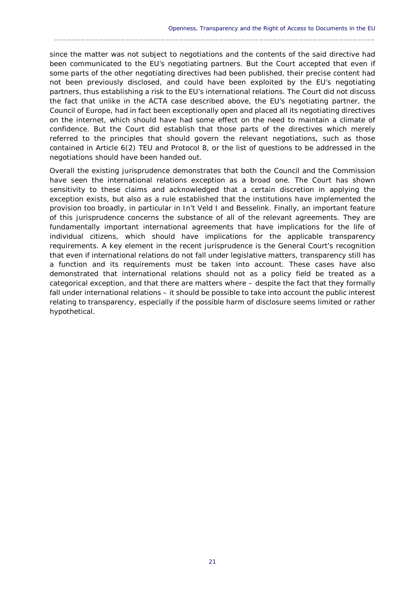since the matter was not subject to negotiations and the contents of the said directive had been communicated to the EU's negotiating partners. But the Court accepted that even if some parts of the other negotiating directives had been published, their precise content had not been previously disclosed, and could have been exploited by the EU's negotiating partners, thus establishing a risk to the EU's international relations. The Court did not discuss the fact that unlike in the ACTA case described above, the EU's negotiating partner, the Council of Europe, had in fact been exceptionally open and placed all its negotiating directives on the internet, which should have had some effect on the need to maintain a climate of confidence. But the Court did establish that those parts of the directives which merely referred to the principles that should govern the relevant negotiations, such as those contained in Article 6(2) TEU and Protocol 8, or the list of questions to be addressed in the negotiations should have been handed out.

 $\_$  , and the set of the set of the set of the set of the set of the set of the set of the set of the set of the set of the set of the set of the set of the set of the set of the set of the set of the set of the set of th

Overall the existing jurisprudence demonstrates that both the Council and the Commission have seen the international relations exception as a broad one. The Court has shown sensitivity to these claims and acknowledged that a certain discretion in applying the exception exists, but also as a rule established that the institutions have implemented the provision too broadly, in particular in *In't Veld I* and *Besselink.* Finally, an important feature of this jurisprudence concerns the substance of all of the relevant agreements. They are fundamentally important international agreements that have implications for the life of individual citizens, which should have implications for the applicable transparency requirements. A key element in the recent jurisprudence is the General Court's recognition that even if international relations do not fall under legislative matters, transparency still has a function and its requirements must be taken into account. These cases have also demonstrated that international relations should not as a policy field be treated as a categorical exception, and that there are matters where – despite the fact that they formally fall under international relations – it should be possible to take into account the public interest relating to transparency, especially if the possible harm of disclosure seems limited or rather hypothetical.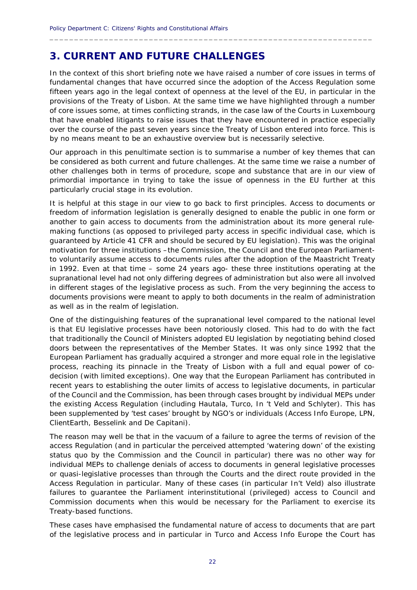## <span id="page-23-0"></span>**3. CURRENT AND FUTURE CHALLENGES**

In the context of this short briefing note we have raised a number of core issues in terms of fundamental changes that have occurred since the adoption of the Access Regulation some fifteen years ago in the legal context of openness at the level of the EU, in particular in the provisions of the Treaty of Lisbon. At the same time we have highlighted through a number of core issues some, at times conflicting strands, in the case law of the Courts in Luxembourg that have enabled litigants to raise issues that they have encountered in practice especially over the course of the past seven years since the Treaty of Lisbon entered into force. This is by no means meant to be an exhaustive overview but is necessarily selective.

**\_\_\_\_\_\_\_\_\_\_\_\_\_\_\_\_\_\_\_\_\_\_\_\_\_\_\_\_\_\_\_\_\_\_\_\_\_\_\_\_\_\_\_\_\_\_\_\_\_\_\_\_\_\_\_\_\_\_\_\_\_\_\_\_\_**

Our approach in this penultimate section is to summarise a number of key themes that can be considered as both current and future challenges. At the same time we raise a number of other challenges both in terms of procedure, scope and substance that are in our view of primordial importance in trying to take the issue of openness in the EU further at this particularly crucial stage in its evolution.

It is helpful at this stage in our view to go back to first principles. Access to documents or freedom of information legislation is generally designed to enable the public in one form or another to gain access to documents from the administration about its more general rulemaking functions (as opposed to privileged party access in specific individual case, which is guaranteed by Article 41 CFR and should be secured by EU legislation). This was the original motivation for three institutions –the Commission, the Council and the European Parliamentto voluntarily assume access to documents rules after the adoption of the Maastricht Treaty in 1992. Even at that time – some 24 years ago- these three institutions operating at the supranational level had not only differing degrees of administration but also were all involved in different stages of the legislative process as such. From the very beginning the access to documents provisions were meant to apply to both documents in the realm of administration as well as in the realm of legislation.

One of the distinguishing features of the supranational level compared to the national level is that EU legislative processes have been notoriously closed. This had to do with the fact that traditionally the Council of Ministers adopted EU legislation by negotiating behind closed doors between the representatives of the Member States. It was only since 1992 that the European Parliament has gradually acquired a stronger and more equal role in the legislative process, reaching its pinnacle in the Treaty of Lisbon with a full and equal power of codecision (with limited exceptions). One way that the European Parliament has contributed in recent years to establishing the outer limits of access to legislative documents, in particular of the Council and the Commission, has been through cases brought by individual MEPs under the existing Access Regulation (including *Hautala, Turco, In 't Veld* and *Schlyter*). This has been supplemented by 'test cases' brought by NGO's or individuals (*Access Info Europe, LPN, ClientEarth, Besselink* and *De Capitani).*

The reason may well be that in the vacuum of a failure to agree the terms of revision of the access Regulation (and in particular the perceived attempted 'watering down' of the existing status quo by the Commission and the Council in particular) there was no other way for individual MEPs to challenge denials of access to documents in general legislative processes or quasi-legislative processes than through the Courts and the direct route provided in the Access Regulation in particular. Many of these cases (in particular *In't Veld*) also illustrate failures to guarantee the Parliament interinstitutional (privileged) access to Council and Commission documents when this would be necessary for the Parliament to exercise its Treaty-based functions.

These cases have emphasised the fundamental nature of access to documents that are part of the legislative process and in particular in *Turco* and *Access Info Europe* the Court has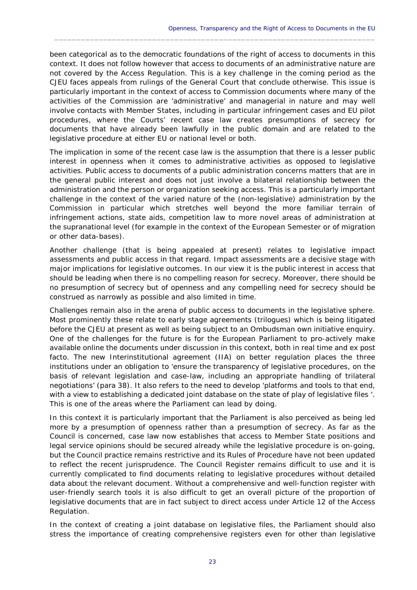been categorical as to the democratic foundations of the right of access to documents in this context. It does not follow however that access to documents of an administrative nature are not covered by the Access Regulation. This is a key challenge in the coming period as the CJEU faces appeals from rulings of the General Court that conclude otherwise. This issue is particularly important in the context of access to Commission documents where many of the activities of the Commission are 'administrative' and managerial in nature and may well involve contacts with Member States, including in particular infringement cases and EU pilot procedures, where the Courts' recent case law creates presumptions of secrecy for documents that have already been lawfully in the public domain and are related to the legislative procedure at either EU or national level or both.

 $\_$  , and the set of the set of the set of the set of the set of the set of the set of the set of the set of the set of the set of the set of the set of the set of the set of the set of the set of the set of the set of th

The implication in some of the recent case law is the assumption that there is a lesser public interest in openness when it comes to administrative activities as opposed to legislative activities. Public access to documents of a public administration concerns matters that are in the general public interest and does not just involve a bilateral relationship between the administration and the person or organization seeking access. This is a particularly important challenge in the context of the varied nature of the (non-legislative) administration by the Commission in particular which stretches well beyond the more familiar terrain of infringement actions, state aids, competition law to more novel areas of administration at the supranational level (for example in the context of the European Semester or of migration or other data-bases).

Another challenge (that is being appealed at present) relates to legislative impact assessments and public access in that regard. Impact assessments are a decisive stage with major implications for legislative outcomes. In our view it is the public interest in access that should be leading when there is no compelling reason for secrecy. Moreover, there should be no presumption of secrecy but of openness and any compelling need for secrecy should be construed as narrowly as possible and also limited in time.

Challenges remain also in the arena of public access to documents in the legislative sphere. Most prominently these relate to early stage agreements (trilogues) which is being litigated before the CJEU at present as well as being subject to an Ombudsman own initiative enquiry. One of the challenges for the future is for the European Parliament to pro-actively make available online the documents under discussion in this context, both in real time and ex post facto. The new Interinstitutional agreement (IIA) on better regulation places the three institutions under an obligation to 'ensure the transparency of legislative procedures, on the basis of relevant legislation and case-law, including an appropriate handling of trilateral negotiations' (para 38). It also refers to the need to develop 'platforms and tools to that end, with a view to establishing a dedicated joint database on the state of play of legislative files '. This is one of the areas where the Parliament can lead by doing.

In this context it is particularly important that the Parliament is also perceived as being led more by a presumption of openness rather than a presumption of secrecy. As far as the Council is concerned, case law now establishes that access to Member State positions and legal service opinions should be secured already while the legislative procedure is on-going, but the Council practice remains restrictive and its Rules of Procedure have not been updated to reflect the recent jurisprudence. The Council Register remains difficult to use and it is currently complicated to find documents relating to legislative procedures without detailed data about the relevant document. Without a comprehensive and well-function register with user-friendly search tools it is also difficult to get an overall picture of the proportion of legislative documents that are in fact subject to direct access under Article 12 of the Access Regulation.

In the context of creating a joint database on legislative files, the Parliament should also stress the importance of creating comprehensive registers even for other than legislative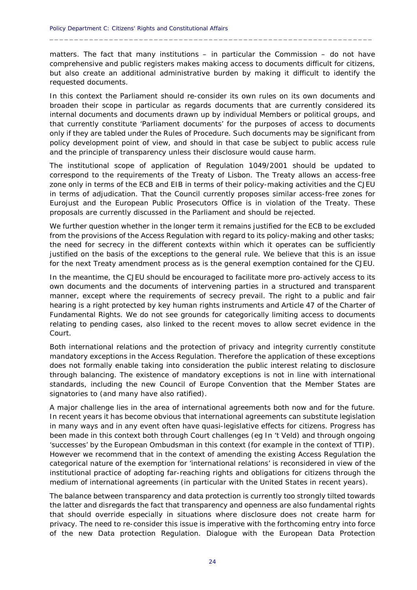matters. The fact that many institutions  $-$  in particular the Commission  $-$  do not have comprehensive and public registers makes making access to documents difficult for citizens, but also create an additional administrative burden by making it difficult to identify the requested documents.

**\_\_\_\_\_\_\_\_\_\_\_\_\_\_\_\_\_\_\_\_\_\_\_\_\_\_\_\_\_\_\_\_\_\_\_\_\_\_\_\_\_\_\_\_\_\_\_\_\_\_\_\_\_\_\_\_\_\_\_\_\_\_\_\_\_**

In this context the Parliament should re-consider its own rules on its own documents and broaden their scope in particular as regards documents that are currently considered its internal documents and documents drawn up by individual Members or political groups, and that currently constitute 'Parliament documents' for the purposes of access to documents only if they are tabled under the Rules of Procedure. Such documents may be significant from policy development point of view, and should in that case be subject to public access rule and the principle of transparency unless their disclosure would cause harm.

The institutional scope of application of Regulation 1049/2001 should be updated to correspond to the requirements of the Treaty of Lisbon. The Treaty allows an access-free zone only in terms of the ECB and EIB in terms of their policy-making activities and the CJEU in terms of adjudication. That the Council currently proposes similar access-free zones for Eurojust and the European Public Prosecutors Office is in violation of the Treaty. These proposals are currently discussed in the Parliament and should be rejected.

We further question whether in the longer term it remains justified for the ECB to be excluded from the provisions of the Access Regulation with regard to its policy-making and other tasks; the need for secrecy in the different contexts within which it operates can be sufficiently justified on the basis of the exceptions to the general rule. We believe that this is an issue for the next Treaty amendment process as is the general exemption contained for the CJEU.

In the meantime, the CJEU should be encouraged to facilitate more pro-actively access to its own documents and the documents of intervening parties in a structured and transparent manner, except where the requirements of secrecy prevail. The right to a public and fair hearing is a right protected by key human rights instruments and Article 47 of the Charter of Fundamental Rights. We do not see grounds for categorically limiting access to documents relating to pending cases, also linked to the recent moves to allow secret evidence in the Court.

Both international relations and the protection of privacy and integrity currently constitute mandatory exceptions in the Access Regulation. Therefore the application of these exceptions does not formally enable taking into consideration the public interest relating to disclosure through balancing. The existence of mandatory exceptions is not in line with international standards, including the new Council of Europe Convention that the Member States are signatories to (and many have also ratified).

A major challenge lies in the area of international agreements both now and for the future. In recent years it has become obvious that international agreements can substitute legislation in many ways and in any event often have quasi-legislative effects for citizens. Progress has been made in this context both through Court challenges (eg *In 't Veld*) and through ongoing 'successes' by the European Ombudsman in this context (for example in the context of TTIP). However we recommend that in the context of amending the existing Access Regulation the categorical nature of the exemption for 'international relations' is reconsidered in view of the institutional practice of adopting far-reaching rights and obligations for citizens through the medium of international agreements (in particular with the United States in recent years).

The balance between transparency and data protection is currently too strongly tilted towards the latter and disregards the fact that transparency and openness are also fundamental rights that should override especially in situations where disclosure does not create harm for privacy. The need to re-consider this issue is imperative with the forthcoming entry into force of the new Data protection Regulation. Dialogue with the European Data Protection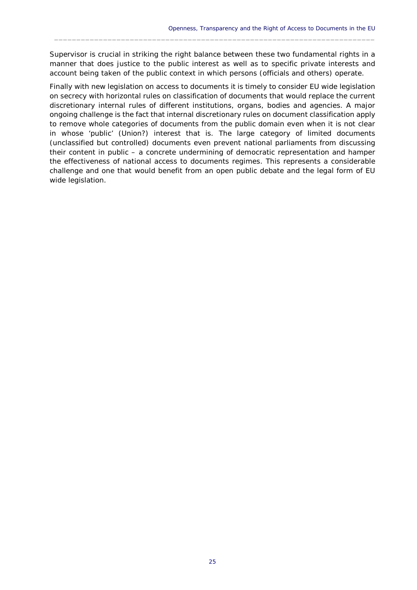Supervisor is crucial in striking the right balance between these two fundamental rights in a manner that does justice to the public interest as well as to specific private interests and account being taken of the public context in which persons (officials and others) operate.

 $\_$  , and the set of the set of the set of the set of the set of the set of the set of the set of the set of the set of the set of the set of the set of the set of the set of the set of the set of the set of the set of th

Finally with new legislation on access to documents it is timely to consider EU wide legislation on secrecy with horizontal rules on classification of documents that would replace the current discretionary internal rules of different institutions, organs, bodies and agencies. A major ongoing challenge is the fact that internal discretionary rules on document classification apply to remove whole categories of documents from the public domain even when it is not clear in whose 'public' (Union?) interest that is. The large category of limited documents (unclassified but controlled) documents even prevent national parliaments from discussing their content in public – a concrete undermining of democratic representation and hamper the effectiveness of national access to documents regimes. This represents a considerable challenge and one that would benefit from an open public debate and the legal form of EU wide legislation.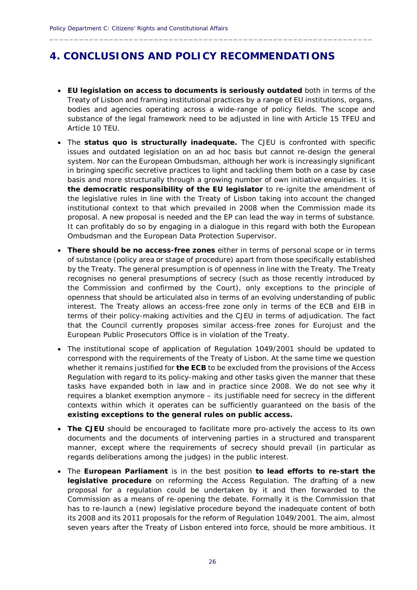# <span id="page-27-0"></span>**4. CONCLUSIONS AND POLICY RECOMMENDATIONS**

• **EU legislation on access to documents is seriously outdated** both in terms of the Treaty of Lisbon and framing institutional practices by a range of EU institutions, organs, bodies and agencies operating across a wide-range of policy fields. The scope and substance of the legal framework need to be adjusted in line with Article 15 TFEU and Article 10 TEU.

**\_\_\_\_\_\_\_\_\_\_\_\_\_\_\_\_\_\_\_\_\_\_\_\_\_\_\_\_\_\_\_\_\_\_\_\_\_\_\_\_\_\_\_\_\_\_\_\_\_\_\_\_\_\_\_\_\_\_\_\_\_\_\_\_\_**

- The **status quo is structurally inadequate.** The CJEU is confronted with specific issues and outdated legislation on an ad hoc basis but cannot re-design the general system. Nor can the European Ombudsman, although her work is increasingly significant in bringing specific secretive practices to light and tackling them both on a case by case basis and more structurally through a growing number of own initiative enquiries. It is **the democratic responsibility of the EU legislator** to re-ignite the amendment of the legislative rules in line with the Treaty of Lisbon taking into account the changed institutional context to that which prevailed in 2008 when the Commission made its proposal. A new proposal is needed and the EP can lead the way in terms of substance. It can profitably do so by engaging in a dialogue in this regard with both the European Ombudsman and the European Data Protection Supervisor.
- **There should be no access-free zones** either in terms of personal scope or in terms of substance (policy area or stage of procedure) apart from those specifically established by the Treaty. The general presumption is of openness in line with the Treaty. The Treaty recognises no general presumptions of secrecy (such as those recently introduced by the Commission and confirmed by the Court), only exceptions to the principle of openness that should be articulated also in terms of an evolving understanding of public interest. The Treaty allows an access-free zone only in terms of the ECB and EIB in terms of their policy-making activities and the CJEU in terms of adjudication. The fact that the Council currently proposes similar access-free zones for Eurojust and the European Public Prosecutors Office is in violation of the Treaty.
- The institutional scope of application of Regulation 1049/2001 should be updated to correspond with the requirements of the Treaty of Lisbon. At the same time we question whether it remains justified for **the ECB** to be excluded from the provisions of the Access Regulation with regard to its policy-making and other tasks given the manner that these tasks have expanded both in law and in practice since 2008. We do not see why it requires a blanket exemption anymore – its justifiable need for secrecy in the different contexts within which it operates can be sufficiently guaranteed on the basis of the **existing exceptions to the general rules on public access.**
- **The CJEU** should be encouraged to facilitate more pro-actively the access to its own documents and the documents of intervening parties in a structured and transparent manner, except where the requirements of secrecy should prevail (in particular as regards deliberations among the judges) in the public interest.
- The **European Parliament** is in the best position **to lead efforts to re-start the legislative procedure** on reforming the Access Regulation. The drafting of a new proposal for a regulation could be undertaken by it and then forwarded to the Commission as a means of re-opening the debate. Formally it is the Commission that has to re-launch a (new) legislative procedure beyond the inadequate content of both its 2008 and its 2011 proposals for the reform of Regulation 1049/2001. The aim, almost seven years after the Treaty of Lisbon entered into force, should be more ambitious. It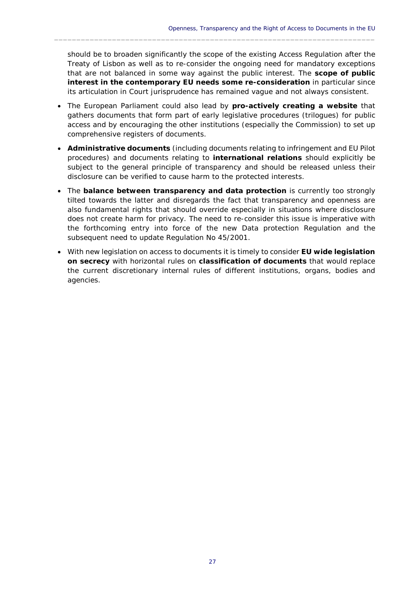should be to broaden significantly the scope of the existing Access Regulation after the Treaty of Lisbon as well as to re-consider the ongoing need for mandatory exceptions that are not balanced in some way against the public interest. The **scope of public interest in the contemporary EU needs some re-consideration** in particular since its articulation in Court jurisprudence has remained vague and not always consistent.

 $\_$  , and the set of the set of the set of the set of the set of the set of the set of the set of the set of the set of the set of the set of the set of the set of the set of the set of the set of the set of the set of th

- The European Parliament could also lead by **pro-actively creating a website** that gathers documents that form part of early legislative procedures (trilogues) for public access and by encouraging the other institutions (especially the Commission) to set up comprehensive registers of documents.
- **Administrative documents** (including documents relating to infringement and EU Pilot procedures) and documents relating to **international relations** should explicitly be subject to the general principle of transparency and should be released unless their disclosure can be verified to cause harm to the protected interests.
- The **balance between transparency and data protection** is currently too strongly tilted towards the latter and disregards the fact that transparency and openness are also fundamental rights that should override especially in situations where disclosure does not create harm for privacy. The need to re-consider this issue is imperative with the forthcoming entry into force of the new Data protection Regulation and the subsequent need to update Regulation No 45/2001.
- With new legislation on access to documents it is timely to consider **EU wide legislation on secrecy** with horizontal rules on **classification of documents** that would replace the current discretionary internal rules of different institutions, organs, bodies and agencies.